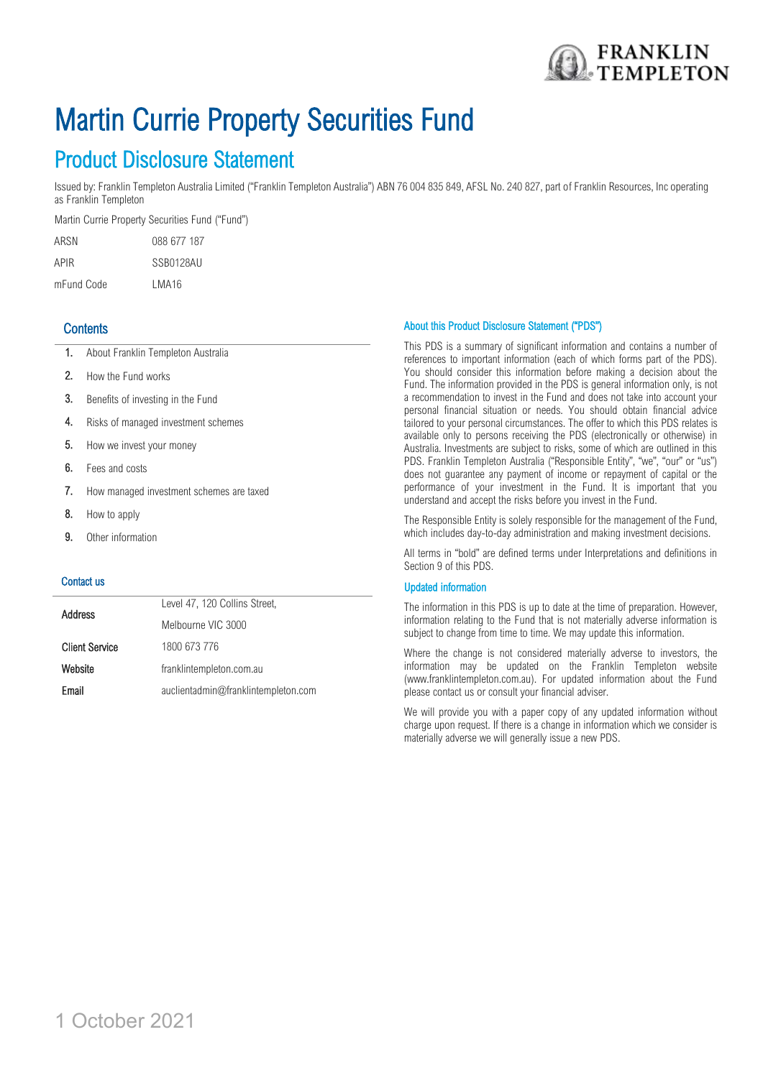

# Martin Currie Property Securities Fund

## Product Disclosure Statement

Issued by: Franklin Templeton Australia Limited ("Franklin Templeton Australia") ABN 76 004 835 849, AFSL No. 240 827, part of Franklin Resources, Inc operating as Franklin Templeton

Martin Currie Property Securities Fund ("Fund")

ARSN 088 677 187 APIR SSB0128AU mFund Code LMA16

## **Contents**

- 1. About Franklin Templeton Australia
- 2. How the Fund works
- 3. Benefits of investing in the Fund
- 4. Risks of managed investment schemes
- 5. How we invest your money
- 6. Fees and costs
- 7. How managed investment schemes are taxed
- 8. How to apply
- 9. Other information

#### Contact us

| <b>Address</b>        | Level 47, 120 Collins Street,       |
|-----------------------|-------------------------------------|
|                       | Melbourne VIC 3000                  |
| <b>Client Service</b> | 1800 673 776                        |
| Website               | franklintempleton.com.au            |
| Email                 | auclientadmin@franklintempleton.com |

#### About this Product Disclosure Statement ("PDS")

This PDS is a summary of significant information and contains a number of references to important information (each of which forms part of the PDS). You should consider this information before making a decision about the Fund. The information provided in the PDS is general information only, is not a recommendation to invest in the Fund and does not take into account your personal financial situation or needs. You should obtain financial advice tailored to your personal circumstances. The offer to which this PDS relates is available only to persons receiving the PDS (electronically or otherwise) in Australia. Investments are subject to risks, some of which are outlined in this PDS. Franklin Templeton Australia ("Responsible Entity", "we", "our" or "us") does not guarantee any payment of income or repayment of capital or the performance of your investment in the Fund. It is important that you understand and accept the risks before you invest in the Fund.

The Responsible Entity is solely responsible for the management of the Fund, which includes day-to-day administration and making investment decisions.

All terms in "bold" are defined terms under Interpretations and definitions in Section 9 of this PDS.

#### Updated information

The information in this PDS is up to date at the time of preparation. However, information relating to the Fund that is not materially adverse information is subject to change from time to time. We may update this information.

Where the change is not considered materially adverse to investors, the information may be updated on the Franklin Templeton website (www.franklintempleton.com.au). For updated information about the Fund please contact us or consult your financial adviser.

We will provide you with a paper copy of any updated information without charge upon request. If there is a change in information which we consider is materially adverse we will generally issue a new PDS.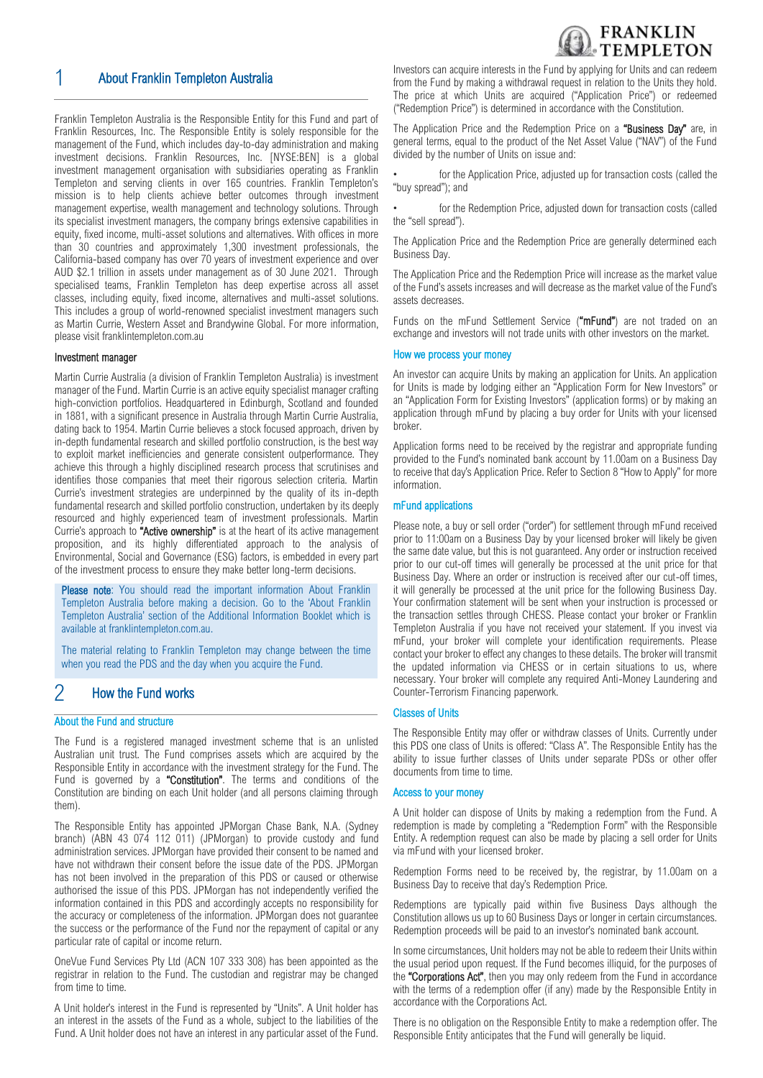

## 1 About Franklin Templeton Australia

Franklin Templeton Australia is the Responsible Entity for this Fund and part of Franklin Resources, Inc. The Responsible Entity is solely responsible for the management of the Fund, which includes day-to-day administration and making investment decisions. Franklin Resources, Inc. [NYSE:BEN] is a global investment management organisation with subsidiaries operating as Franklin Templeton and serving clients in over 165 countries. Franklin Templeton's mission is to help clients achieve better outcomes through investment management expertise, wealth management and technology solutions. Through its specialist investment managers, the company brings extensive capabilities in equity, fixed income, multi-asset solutions and alternatives. With offices in more than 30 countries and approximately 1,300 investment professionals, the California-based company has over 70 years of investment experience and over AUD \$2.1 trillion in assets under management as of 30 June 2021. Through specialised teams, Franklin Templeton has deep expertise across all asset classes, including equity, fixed income, alternatives and multi-asset solutions. This includes a group of world-renowned specialist investment managers such as Martin Currie, Western Asset and Brandywine Global. For more information, please visit franklintempleton.com.au

#### Investment manager

Martin Currie Australia (a division of Franklin Templeton Australia) is investment manager of the Fund. Martin Currie is an active equity specialist manager crafting high-conviction portfolios. Headquartered in Edinburgh, Scotland and founded in 1881, with a significant presence in Australia through Martin Currie Australia, dating back to 1954. Martin Currie believes a stock focused approach, driven by in-depth fundamental research and skilled portfolio construction, is the best way to exploit market inefficiencies and generate consistent outperformance. They achieve this through a highly disciplined research process that scrutinises and identifies those companies that meet their rigorous selection criteria. Martin Currie's investment strategies are underpinned by the quality of its in-depth fundamental research and skilled portfolio construction, undertaken by its deeply resourced and highly experienced team of investment professionals. Martin Currie's approach to "Active ownership" is at the heart of its active management proposition, and its highly differentiated approach to the analysis of Environmental, Social and Governance (ESG) factors, is embedded in every part of the investment process to ensure they make better long-term decisions.

Please note: You should read the important information About Franklin Templeton Australia before making a decision. Go to the 'About Franklin Templeton Australia' section of the Additional Information Booklet which is available at [franklintempleton.com.au.](http://www.leggmason.com.au/en/index.aspx)

The material relating to Franklin Templeton may change between the time when you read the PDS and the day when you acquire the Fund.

## 2 How the Fund works

#### About the Fund and structure

The Fund is a registered managed investment scheme that is an unlisted Australian unit trust. The Fund comprises assets which are acquired by the Responsible Entity in accordance with the investment strategy for the Fund. The Fund is governed by a "Constitution". The terms and conditions of the Constitution are binding on each Unit holder (and all persons claiming through them).

The Responsible Entity has appointed JPMorgan Chase Bank, N.A. (Sydney branch) (ABN 43 074 112 011) (JPMorgan) to provide custody and fund administration services. JPMorgan have provided their consent to be named and have not withdrawn their consent before the issue date of the PDS. JPMorgan has not been involved in the preparation of this PDS or caused or otherwise authorised the issue of this PDS. JPMorgan has not independently verified the information contained in this PDS and accordingly accepts no responsibility for the accuracy or completeness of the information. JPMorgan does not guarantee the success or the performance of the Fund nor the repayment of capital or any particular rate of capital or income return.

OneVue Fund Services Pty Ltd (ACN 107 333 308) has been appointed as the registrar in relation to the Fund. The custodian and registrar may be changed from time to time.

A Unit holder's interest in the Fund is represented by "Units". A Unit holder has an interest in the assets of the Fund as a whole, subject to the liabilities of the Fund. A Unit holder does not have an interest in any particular asset of the Fund. Investors can acquire interests in the Fund by applying for Units and can redeem from the Fund by making a withdrawal request in relation to the Units they hold. The price at which Units are acquired ("Application Price") or redeemed ("Redemption Price") is determined in accordance with the Constitution.

The Application Price and the Redemption Price on a "Business Day" are, in general terms, equal to the product of the Net Asset Value ("NAV") of the Fund divided by the number of Units on issue and:

for the Application Price, adjusted up for transaction costs (called the "buy spread"); and

for the Redemption Price, adjusted down for transaction costs (called the "sell spread").

The Application Price and the Redemption Price are generally determined each Business Day.

The Application Price and the Redemption Price will increase as the market value of the Fund's assets increases and will decrease as the market value of the Fund's assets decreases.

Funds on the mFund Settlement Service ("mFund") are not traded on an exchange and investors will not trade units with other investors on the market.

#### How we process your money

An investor can acquire Units by making an application for Units. An application for Units is made by lodging either an "Application Form for New Investors" or an "Application Form for Existing Investors" (application forms) or by making an application through mFund by placing a buy order for Units with your licensed broker.

Application forms need to be received by the registrar and appropriate funding provided to the Fund's nominated bank account by 11.00am on a Business Day to receive that day's Application Price. Refer to Section 8 "How to Apply" for more information.

#### mFund applications

Please note, a buy or sell order ("order") for settlement through mFund received prior to 11:00am on a Business Day by your licensed broker will likely be given the same date value, but this is not guaranteed. Any order or instruction received prior to our cut-off times will generally be processed at the unit price for that Business Day. Where an order or instruction is received after our cut-off times, it will generally be processed at the unit price for the following Business Day. Your confirmation statement will be sent when your instruction is processed or the transaction settles through CHESS. Please contact your broker or Franklin Templeton Australia if you have not received your statement. If you invest via mFund, your broker will complete your identification requirements. Please contact your broker to effect any changes to these details. The broker will transmit the updated information via CHESS or in certain situations to us, where necessary. Your broker will complete any required Anti-Money Laundering and Counter-Terrorism Financing paperwork.

#### Classes of Units

The Responsible Entity may offer or withdraw classes of Units. Currently under this PDS one class of Units is offered: "Class A". The Responsible Entity has the ability to issue further classes of Units under separate PDSs or other offer documents from time to time.

#### Access to your money

A Unit holder can dispose of Units by making a redemption from the Fund. A redemption is made by completing a "Redemption Form" with the Responsible Entity. A redemption request can also be made by placing a sell order for Units via mFund with your licensed broker.

Redemption Forms need to be received by, the registrar, by 11.00am on a Business Day to receive that day's Redemption Price.

Redemptions are typically paid within five Business Days although the Constitution allows us up to 60 Business Days or longer in certain circumstances. Redemption proceeds will be paid to an investor's nominated bank account.

In some circumstances, Unit holders may not be able to redeem their Units within the usual period upon request. If the Fund becomes illiquid, for the purposes of the "Corporations Act", then you may only redeem from the Fund in accordance with the terms of a redemption offer (if any) made by the Responsible Entity in accordance with the Corporations Act.

There is no obligation on the Responsible Entity to make a redemption offer. The Responsible Entity anticipates that the Fund will generally be liquid.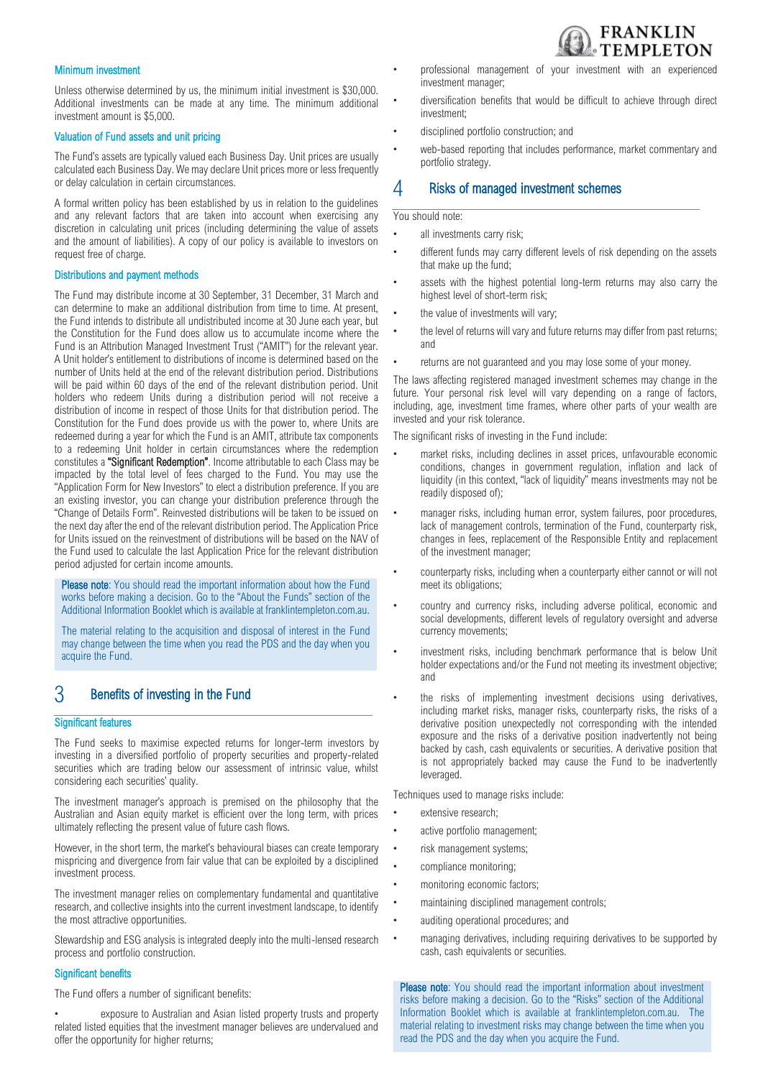## **FRANKLIN EMPLETON**

#### Minimum investment

Unless otherwise determined by us, the minimum initial investment is \$30,000. Additional investments can be made at any time. The minimum additional investment amount is \$5,000.

#### Valuation of Fund assets and unit pricing

The Fund's assets are typically valued each Business Day. Unit prices are usually calculated each Business Day. We may declare Unit prices more or less frequently or delay calculation in certain circumstances.

A formal written policy has been established by us in relation to the guidelines and any relevant factors that are taken into account when exercising any discretion in calculating unit prices (including determining the value of assets and the amount of liabilities). A copy of our policy is available to investors on request free of charge.

#### Distributions and payment methods

The Fund may distribute income at 30 September, 31 December, 31 March and can determine to make an additional distribution from time to time. At present, the Fund intends to distribute all undistributed income at 30 June each year, but the Constitution for the Fund does allow us to accumulate income where the Fund is an Attribution Managed Investment Trust ("AMIT") for the relevant year. A Unit holder's entitlement to distributions of income is determined based on the number of Units held at the end of the relevant distribution period. Distributions will be paid within 60 days of the end of the relevant distribution period. Unit holders who redeem Units during a distribution period will not receive a distribution of income in respect of those Units for that distribution period. The Constitution for the Fund does provide us with the power to, where Units are redeemed during a year for which the Fund is an AMIT, attribute tax components to a redeeming Unit holder in certain circumstances where the redemption constitutes a "Significant Redemption". Income attributable to each Class may be impacted by the total level of fees charged to the Fund. You may use the "Application Form for New Investors" to elect a distribution preference. If you are an existing investor, you can change your distribution preference through the "Change of Details Form". Reinvested distributions will be taken to be issued on the next day after the end of the relevant distribution period. The Application Price for Units issued on the reinvestment of distributions will be based on the NAV of the Fund used to calculate the last Application Price for the relevant distribution period adjusted for certain income amounts.

Please note: You should read the important information about how the Fund works before making a decision. Go to the "About the Funds" section of the Additional Information Booklet which is available at franklintempleton.com.au.

The material relating to the acquisition and disposal of interest in the Fund may change between the time when you read the PDS and the day when you acquire the Fund.

## 3 Benefits of investing in the Fund

#### Significant features

The Fund seeks to maximise expected returns for longer-term investors by investing in a diversified portfolio of property securities and property-related securities which are trading below our assessment of intrinsic value, whilst considering each securities' quality.

The investment manager's approach is premised on the philosophy that the Australian and Asian equity market is efficient over the long term, with prices ultimately reflecting the present value of future cash flows.

However, in the short term, the market's behavioural biases can create temporary mispricing and divergence from fair value that can be exploited by a disciplined investment process.

The investment manager relies on complementary fundamental and quantitative research, and collective insights into the current investment landscape, to identify the most attractive opportunities.

Stewardship and ESG analysis is integrated deeply into the multi-lensed research process and portfolio construction.

#### Significant benefits

The Fund offers a number of significant benefits:

exposure to Australian and Asian listed property trusts and property related listed equities that the investment manager believes are undervalued and offer the opportunity for higher returns;

- professional management of your investment with an experienced investment manager;
- diversification benefits that would be difficult to achieve through direct investment;
- disciplined portfolio construction; and
- web-based reporting that includes performance, market commentary and portfolio strategy.

### 4 Risks of managed investment schemes

#### You should note:

- all investments carry risk;
- different funds may carry different levels of risk depending on the assets that make up the fund;
- assets with the highest potential long-term returns may also carry the highest level of short-term risk;
- the value of investments will vary;
- the level of returns will vary and future returns may differ from past returns: and
- returns are not quaranteed and you may lose some of your money.

The laws affecting registered managed investment schemes may change in the future. Your personal risk level will vary depending on a range of factors, including, age, investment time frames, where other parts of your wealth are invested and your risk tolerance.

The significant risks of investing in the Fund include:

- market risks, including declines in asset prices, unfavourable economic conditions, changes in government regulation, inflation and lack of liquidity (in this context, "lack of liquidity" means investments may not be readily disposed of);
- manager risks, including human error, system failures, poor procedures, lack of management controls, termination of the Fund, counterparty risk, changes in fees, replacement of the Responsible Entity and replacement of the investment manager;
- counterparty risks, including when a counterparty either cannot or will not meet its obligations;
- country and currency risks, including adverse political, economic and social developments, different levels of regulatory oversight and adverse currency movements;
- investment risks, including benchmark performance that is below Unit holder expectations and/or the Fund not meeting its investment objective; and
- the risks of implementing investment decisions using derivatives, including market risks, manager risks, counterparty risks, the risks of a derivative position unexpectedly not corresponding with the intended exposure and the risks of a derivative position inadvertently not being backed by cash, cash equivalents or securities. A derivative position that is not appropriately backed may cause the Fund to be inadvertently leveraged.

Techniques used to manage risks include:

- extensive research;
- active portfolio management;
- risk management systems:
- compliance monitoring;
- monitoring economic factors;
- maintaining disciplined management controls;
- auditing operational procedures; and
- managing derivatives, including requiring derivatives to be supported by cash, cash equivalents or securities.

Please note: You should read the important information about investment risks before making a decision. Go to the "Risks" section of the Additional Information Booklet which is available at franklintempleton.com.au. The material relating to investment risks may change between the time when you read the PDS and the day when you acquire the Fund.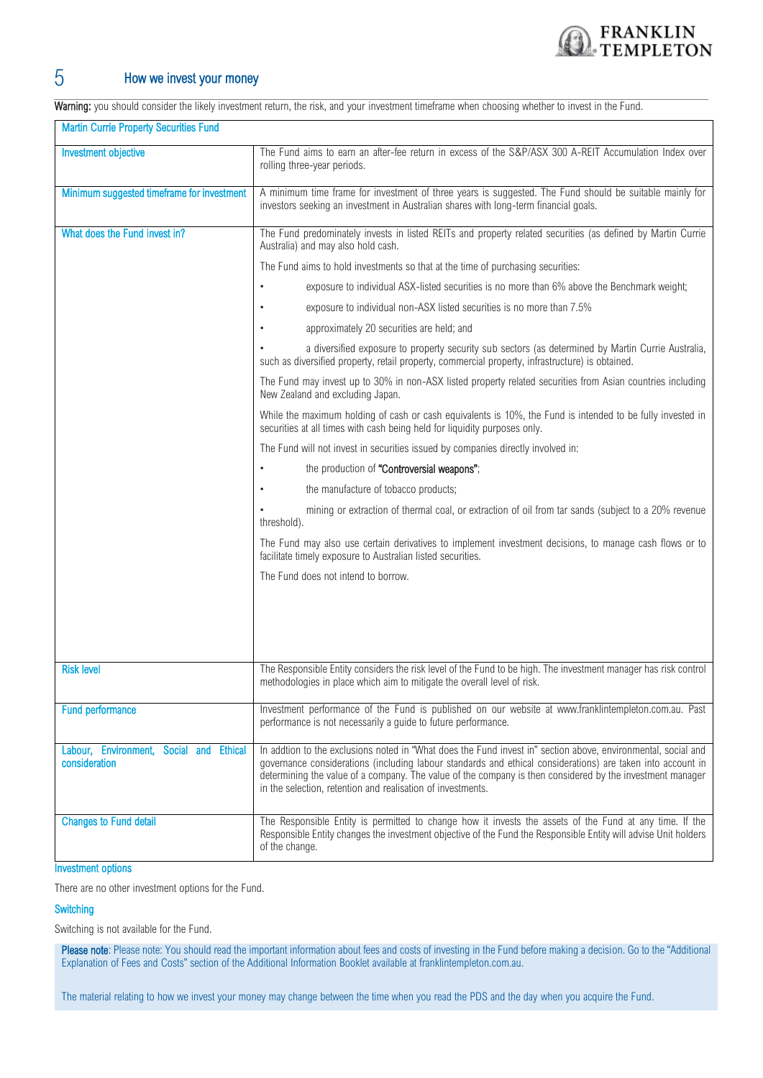

## 5 How we invest your money

Warning: you should consider the likely investment return, the risk, and your investment timeframe when choosing whether to invest in the Fund.

| <b>Martin Currie Property Securities Fund</b>            |                                                                                                                                                                                                                                                                                                                                                                                                          |  |  |
|----------------------------------------------------------|----------------------------------------------------------------------------------------------------------------------------------------------------------------------------------------------------------------------------------------------------------------------------------------------------------------------------------------------------------------------------------------------------------|--|--|
| <b>Investment objective</b>                              | The Fund aims to earn an after-fee return in excess of the S&P/ASX 300 A-REIT Accumulation Index over<br>rolling three-year periods.                                                                                                                                                                                                                                                                     |  |  |
| Minimum suggested timeframe for investment               | A minimum time frame for investment of three years is suggested. The Fund should be suitable mainly for<br>investors seeking an investment in Australian shares with long-term financial goals.                                                                                                                                                                                                          |  |  |
| What does the Fund invest in?                            | The Fund predominately invests in listed REITs and property related securities (as defined by Martin Currie<br>Australia) and may also hold cash.                                                                                                                                                                                                                                                        |  |  |
|                                                          | The Fund aims to hold investments so that at the time of purchasing securities:                                                                                                                                                                                                                                                                                                                          |  |  |
|                                                          | exposure to individual ASX-listed securities is no more than 6% above the Benchmark weight;<br>٠                                                                                                                                                                                                                                                                                                         |  |  |
|                                                          | exposure to individual non-ASX listed securities is no more than 7.5%                                                                                                                                                                                                                                                                                                                                    |  |  |
|                                                          | approximately 20 securities are held; and<br>٠                                                                                                                                                                                                                                                                                                                                                           |  |  |
|                                                          | a diversified exposure to property security sub sectors (as determined by Martin Currie Australia,<br>such as diversified property, retail property, commercial property, infrastructure) is obtained.                                                                                                                                                                                                   |  |  |
|                                                          | The Fund may invest up to 30% in non-ASX listed property related securities from Asian countries including<br>New Zealand and excluding Japan.                                                                                                                                                                                                                                                           |  |  |
|                                                          | While the maximum holding of cash or cash equivalents is 10%, the Fund is intended to be fully invested in<br>securities at all times with cash being held for liquidity purposes only.                                                                                                                                                                                                                  |  |  |
|                                                          | The Fund will not invest in securities issued by companies directly involved in:                                                                                                                                                                                                                                                                                                                         |  |  |
|                                                          | the production of "Controversial weapons";<br>٠                                                                                                                                                                                                                                                                                                                                                          |  |  |
|                                                          | the manufacture of tobacco products;<br>$\bullet$                                                                                                                                                                                                                                                                                                                                                        |  |  |
|                                                          | mining or extraction of thermal coal, or extraction of oil from tar sands (subject to a 20% revenue<br>threshold).                                                                                                                                                                                                                                                                                       |  |  |
|                                                          | The Fund may also use certain derivatives to implement investment decisions, to manage cash flows or to<br>facilitate timely exposure to Australian listed securities.                                                                                                                                                                                                                                   |  |  |
|                                                          | The Fund does not intend to borrow.                                                                                                                                                                                                                                                                                                                                                                      |  |  |
|                                                          |                                                                                                                                                                                                                                                                                                                                                                                                          |  |  |
|                                                          |                                                                                                                                                                                                                                                                                                                                                                                                          |  |  |
|                                                          |                                                                                                                                                                                                                                                                                                                                                                                                          |  |  |
| <b>Risk level</b>                                        | The Responsible Entity considers the risk level of the Fund to be high. The investment manager has risk control<br>methodologies in place which aim to mitigate the overall level of risk.                                                                                                                                                                                                               |  |  |
| <b>Fund performance</b>                                  | Investment performance of the Fund is published on our website at www.franklintempleton.com.au. Past<br>performance is not necessarily a quide to future performance.                                                                                                                                                                                                                                    |  |  |
| Labour, Environment, Social and Ethical<br>consideration | In addtion to the exclusions noted in "What does the Fund invest in" section above, environmental, social and<br>governance considerations (including labour standards and ethical considerations) are taken into account in<br>determining the value of a company. The value of the company is then considered by the investment manager<br>in the selection, retention and realisation of investments. |  |  |
| <b>Changes to Fund detail</b>                            | The Responsible Entity is permitted to change how it invests the assets of the Fund at any time. If the<br>Responsible Entity changes the investment objective of the Fund the Responsible Entity will advise Unit holders<br>of the change.                                                                                                                                                             |  |  |

#### Investment options

There are no other investment options for the Fund.

#### **Switching**

Switching is not available for the Fund.

Please note: Please note: You should read the important information about fees and costs of investing in the Fund before making a decision. Go to the "Additional Explanation of Fees and Costs" section of the Additional Information Booklet available at franklintempleton.com.au.

The material relating to how we invest your money may change between the time when you read the PDS and the day when you acquire the Fund.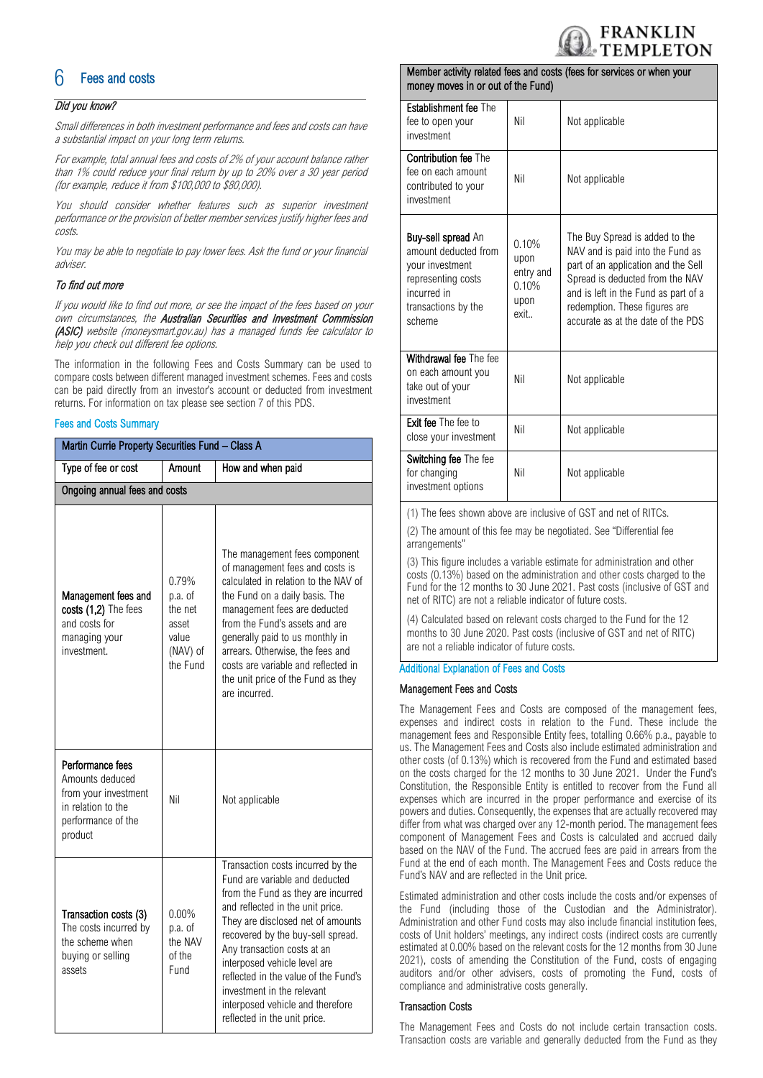

## **Fees and costs**

#### Did you know?

Small differences in both investment performance and fees and costs can have a substantial impact on your long term returns.

For example, total annual fees and costs of 2% of your account balance rather than 1% could reduce your final return by up to 20% over a 30 year period (for example, reduce it from \$100,000 to \$80,000).

You should consider whether features such as superior investment performance or the provision of better member services justify higher fees and costs.

You may be able to negotiate to pay lower fees. Ask the fund or your financial adviser.

#### To find out more

If you would like to find out more, or see the impact of the fees based on your own circumstances, the Australian Securities and Investment Commission (ASIC) website (moneysmart.gov.au) has a managed funds fee calculator to help you check out different fee options.

The information in the following Fees and Costs Summary can be used to compare costs between different managed investment schemes. Fees and costs can be paid directly from an investor's account or deducted from investment returns. For information on tax please see section 7 of this PDS.

#### Fees and Costs Summary

| Martin Currie Property Securities Fund - Class A                                                                   |                                                                       |                                                                                                                                                                                                                                                                                                                                                                                                                                  |  |  |  |
|--------------------------------------------------------------------------------------------------------------------|-----------------------------------------------------------------------|----------------------------------------------------------------------------------------------------------------------------------------------------------------------------------------------------------------------------------------------------------------------------------------------------------------------------------------------------------------------------------------------------------------------------------|--|--|--|
| Type of fee or cost                                                                                                | Amount                                                                | How and when paid                                                                                                                                                                                                                                                                                                                                                                                                                |  |  |  |
| Ongoing annual fees and costs                                                                                      |                                                                       |                                                                                                                                                                                                                                                                                                                                                                                                                                  |  |  |  |
| Management fees and<br>costs (1,2) The fees<br>and costs for<br>managing your<br>investment.                       | 0.79%<br>p.a. of<br>the net<br>asset<br>value<br>(NAV) of<br>the Fund | The management fees component<br>of management fees and costs is<br>calculated in relation to the NAV of<br>the Fund on a daily basis. The<br>management fees are deducted<br>from the Fund's assets and are<br>generally paid to us monthly in<br>arrears. Otherwise, the fees and<br>costs are variable and reflected in<br>the unit price of the Fund as they<br>are incurred.                                                |  |  |  |
| Performance fees<br>Amounts deduced<br>from your investment<br>in relation to the<br>performance of the<br>product | Nil                                                                   | Not applicable                                                                                                                                                                                                                                                                                                                                                                                                                   |  |  |  |
| Transaction costs (3)<br>The costs incurred by<br>the scheme when<br>buying or selling<br>assets                   | $0.00\%$<br>p.a. of<br>the NAV<br>of the<br>Fund                      | Transaction costs incurred by the<br>Fund are variable and deducted<br>from the Fund as they are incurred<br>and reflected in the unit price.<br>They are disclosed net of amounts<br>recovered by the buy-sell spread.<br>Any transaction costs at an<br>interposed vehicle level are<br>reflected in the value of the Fund's<br>investment in the relevant<br>interposed vehicle and therefore<br>reflected in the unit price. |  |  |  |

#### Member activity related fees and costs (fees for services or when your money moves in or out of the Fund)

| <b>Establishment fee The</b><br>fee to open your<br>investment                                                                             | Nil                                                 | Not applicable                                                                                                                                                                                                                                              |
|--------------------------------------------------------------------------------------------------------------------------------------------|-----------------------------------------------------|-------------------------------------------------------------------------------------------------------------------------------------------------------------------------------------------------------------------------------------------------------------|
| <b>Contribution fee The</b><br>fee on each amount<br>contributed to your<br>investment                                                     | Nil                                                 | Not applicable                                                                                                                                                                                                                                              |
| <b>Buy-sell spread An</b><br>amount deducted from<br>your investment<br>representing costs<br>incurred in<br>transactions by the<br>scheme | 0.10%<br>upon<br>entry and<br>0.10%<br>upon<br>exit | The Buy Spread is added to the<br>NAV and is paid into the Fund as<br>part of an application and the Sell<br>Spread is deducted from the NAV<br>and is left in the Fund as part of a<br>redemption. These figures are<br>accurate as at the date of the PDS |
| Withdrawal fee The fee<br>on each amount you<br>take out of your<br>investment                                                             | Nil                                                 | Not applicable                                                                                                                                                                                                                                              |
| <b>Exit fee The fee to</b><br>close your investment                                                                                        | Nil                                                 | Not applicable                                                                                                                                                                                                                                              |
| Switching fee The fee<br>for changing<br>investment options                                                                                | Nil                                                 | Not applicable                                                                                                                                                                                                                                              |

(1) The fees shown above are inclusive of GST and net of RITCs.

(2) The amount of this fee may be negotiated. See "Differential fee arrangements"

(3) This figure includes a variable estimate for administration and other costs (0.13%) based on the administration and other costs charged to the Fund for the 12 months to 30 June 2021. Past costs (inclusive of GST and net of RITC) are not a reliable indicator of future costs.

(4) Calculated based on relevant costs charged to the Fund for the 12 months to 30 June 2020. Past costs (inclusive of GST and net of RITC) are not a reliable indicator of future costs.

#### Additional Explanation of Fees and Costs

#### Management Fees and Costs

The Management Fees and Costs are composed of the management fees, expenses and indirect costs in relation to the Fund. These include the management fees and Responsible Entity fees, totalling 0.66% p.a., payable to us. The Management Fees and Costs also include estimated administration and other costs (of 0.13%) which is recovered from the Fund and estimated based on the costs charged for the 12 months to 30 June 2021. Under the Fund's Constitution, the Responsible Entity is entitled to recover from the Fund all expenses which are incurred in the proper performance and exercise of its powers and duties. Consequently, the expenses that are actually recovered may differ from what was charged over any 12-month period. The management fees component of Management Fees and Costs is calculated and accrued daily based on the NAV of the Fund. The accrued fees are paid in arrears from the Fund at the end of each month. The Management Fees and Costs reduce the Fund's NAV and are reflected in the Unit price.

Estimated administration and other costs include the costs and/or expenses of the Fund (including those of the Custodian and the Administrator). Administration and other Fund costs may also include financial institution fees, costs of Unit holders' meetings, any indirect costs (indirect costs are currently estimated at 0.00% based on the relevant costs for the 12 months from 30 June 2021), costs of amending the Constitution of the Fund, costs of engaging auditors and/or other advisers, costs of promoting the Fund, costs of compliance and administrative costs generally.

#### Transaction Costs

The Management Fees and Costs do not include certain transaction costs. Transaction costs are variable and generally deducted from the Fund as they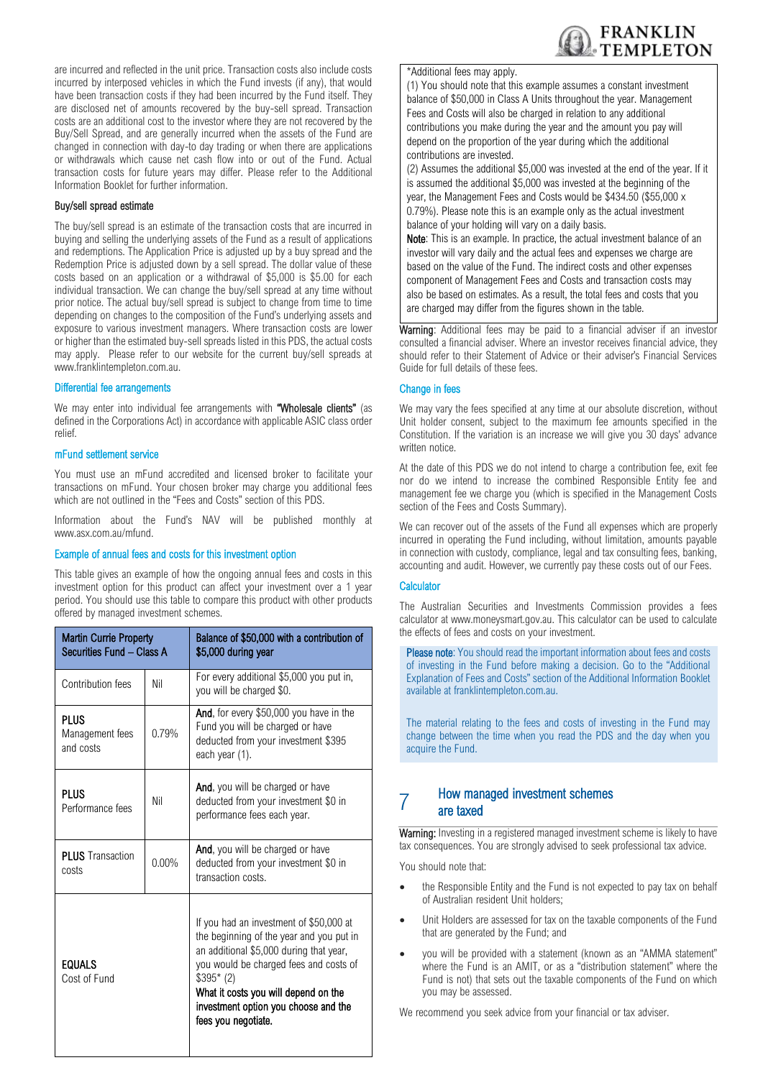

are incurred and reflected in the unit price. Transaction costs also include costs incurred by interposed vehicles in which the Fund invests (if any), that would have been transaction costs if they had been incurred by the Fund itself. They are disclosed net of amounts recovered by the buy-sell spread. Transaction costs are an additional cost to the investor where they are not recovered by the Buy/Sell Spread, and are generally incurred when the assets of the Fund are changed in connection with day-to day trading or when there are applications or withdrawals which cause net cash flow into or out of the Fund. Actual transaction costs for future years may differ. Please refer to the Additional Information Booklet for further information.

#### Buy/sell spread estimate

The buy/sell spread is an estimate of the transaction costs that are incurred in buying and selling the underlying assets of the Fund as a result of applications and redemptions. The Application Price is adjusted up by a buy spread and the Redemption Price is adjusted down by a sell spread. The dollar value of these costs based on an application or a withdrawal of \$5,000 is \$5.00 for each individual transaction. We can change the buy/sell spread at any time without prior notice. The actual buy/sell spread is subject to change from time to time depending on changes to the composition of the Fund's underlying assets and exposure to various investment managers. Where transaction costs are lower or higher than the estimated buy-sell spreads listed in this PDS, the actual costs may apply. Please refer to our website for the current buy/sell spreads at www.franklintempleton.com.au.

#### Differential fee arrangements

We may enter into individual fee arrangements with "Wholesale clients" (as defined in the Corporations Act) in accordance with applicable ASIC class order relief.

#### mFund settlement service

You must use an mFund accredited and licensed broker to facilitate your transactions on mFund. Your chosen broker may charge you additional fees which are not outlined in the "Fees and Costs" section of this PDS.

Information about the Fund's NAV will be published monthly at www.asx.com.au/mfund.

#### Example of annual fees and costs for this investment option

This table gives an example of how the ongoing annual fees and costs in this investment option for this product can affect your investment over a 1 year period. You should use this table to compare this product with other products offered by managed investment schemes.

| Martin Currie Property<br>Securities Fund - Class A |          | Balance of \$50,000 with a contribution of<br>\$5,000 during year                                                                                                                                                                                                                             |
|-----------------------------------------------------|----------|-----------------------------------------------------------------------------------------------------------------------------------------------------------------------------------------------------------------------------------------------------------------------------------------------|
| Contribution fees                                   | Nil      | For every additional \$5,000 you put in,<br>you will be charged \$0.                                                                                                                                                                                                                          |
| PLUS<br>Management fees<br>and costs                | 0.79%    | And, for every \$50,000 you have in the<br>Fund you will be charged or have<br>deducted from your investment \$395<br>each year (1).                                                                                                                                                          |
| <b>PLUS</b><br>Performance fees                     | Nil      | And, you will be charged or have<br>deducted from your investment \$0 in<br>performance fees each year.                                                                                                                                                                                       |
| <b>PLUS</b> Transaction<br>costs                    | $0.00\%$ | And, you will be charged or have<br>deducted from your investment \$0 in<br>transaction costs.                                                                                                                                                                                                |
| EQUALS<br>Cost of Fund                              |          | If you had an investment of \$50,000 at<br>the beginning of the year and you put in<br>an additional \$5,000 during that year,<br>you would be charged fees and costs of<br>$$395*(2)$<br>What it costs you will depend on the<br>investment option you choose and the<br>fees you negotiate. |

#### \*Additional fees may apply.

(1) You should note that this example assumes a constant investment balance of \$50,000 in Class A Units throughout the year. Management Fees and Costs will also be charged in relation to any additional contributions you make during the year and the amount you pay will depend on the proportion of the year during which the additional contributions are invested.

(2) Assumes the additional \$5,000 was invested at the end of the year. If it is assumed the additional \$5,000 was invested at the beginning of the year, the Management Fees and Costs would be \$434.50 (\$55,000 x 0.79%). Please note this is an example only as the actual investment balance of your holding will vary on a daily basis.

Note: This is an example. In practice, the actual investment balance of an investor will vary daily and the actual fees and expenses we charge are based on the value of the Fund. The indirect costs and other expenses component of Management Fees and Costs and transaction costs may also be based on estimates. As a result, the total fees and costs that you are charged may differ from the figures shown in the table.

Warning: Additional fees may be paid to a financial adviser if an investor consulted a financial adviser. Where an investor receives financial advice, they should refer to their Statement of Advice or their adviser's Financial Services Guide for full details of these fees.

#### Change in fees

We may vary the fees specified at any time at our absolute discretion, without Unit holder consent, subject to the maximum fee amounts specified in the Constitution. If the variation is an increase we will give you 30 days' advance written notice.

At the date of this PDS we do not intend to charge a contribution fee, exit fee nor do we intend to increase the combined Responsible Entity fee and management fee we charge you (which is specified in the Management Costs section of the Fees and Costs Summary).

We can recover out of the assets of the Fund all expenses which are properly incurred in operating the Fund including, without limitation, amounts payable in connection with custody, compliance, legal and tax consulting fees, banking, accounting and audit. However, we currently pay these costs out of our Fees.

#### Calculator

The Australian Securities and Investments Commission provides a fees calculator at www.moneysmart.gov.au. This calculator can be used to calculate the effects of fees and costs on your investment.

Please note: You should read the important information about fees and costs of investing in the Fund before making a decision. Go to the "Additional Explanation of Fees and Costs" section of the Additional Information Booklet available at [franklintempleton.com.au.](http://www.leggmason.com.au/en/index.aspx) 

The material relating to the fees and costs of investing in the Fund may change between the time when you read the PDS and the day when you acquire the Fund.

#### 7 How managed investment schemes are taxed

Warning: Investing in a registered managed investment scheme is likely to have tax consequences. You are strongly advised to seek professional tax advice.

You should note that:

- the Responsible Entity and the Fund is not expected to pay tax on behalf of Australian resident Unit holders;
- Unit Holders are assessed for tax on the taxable components of the Fund that are generated by the Fund; and
- you will be provided with a statement (known as an "AMMA statement" where the Fund is an AMIT, or as a "distribution statement" where the Fund is not) that sets out the taxable components of the Fund on which you may be assessed.

We recommend you seek advice from your financial or tax adviser.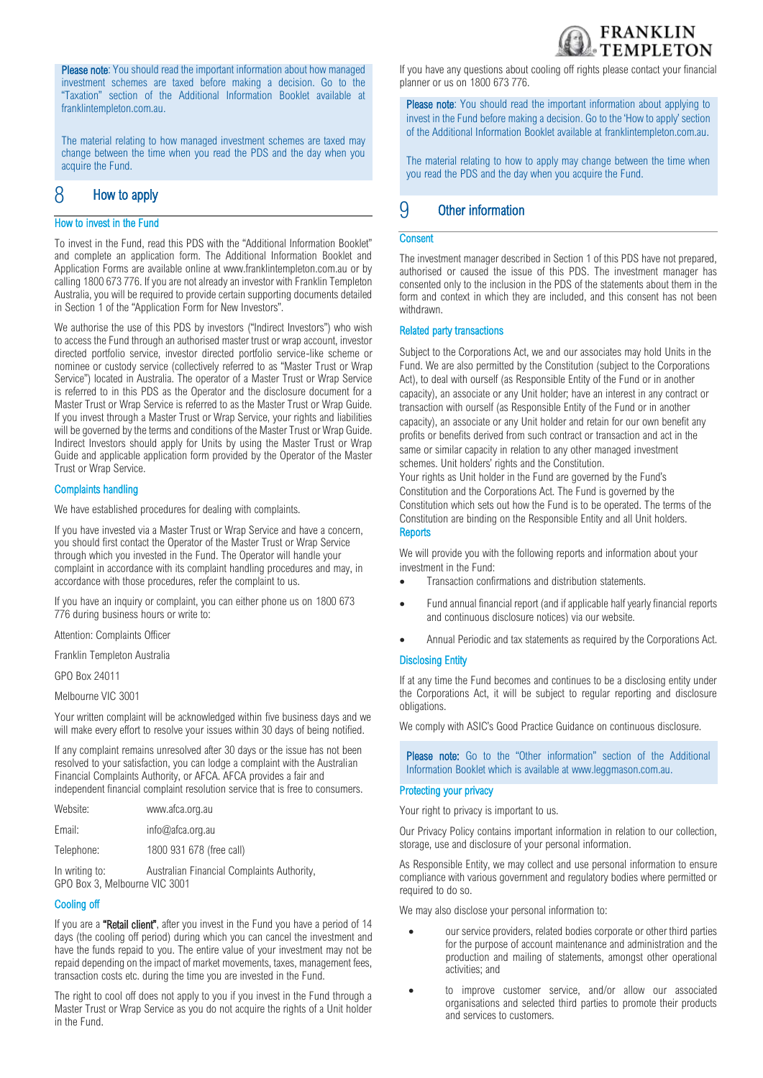

Please note: You should read the important information about how managed investment schemes are taxed before making a decision. Go to the "Taxation" section of the Additional Information Booklet available at [franklintempleton.com.au.](http://www.leggmason.com.au/en/index.aspx)

The material relating to how managed investment schemes are taxed may change between the time when you read the PDS and the day when you acquire the Fund.

## 8 How to apply

#### How to invest in the Fund

To invest in the Fund, read this PDS with the "Additional Information Booklet" and complete an application form. The Additional Information Booklet and Application Forms are available online at www.franklintempleton.com.au or by calling 1800 673 776. If you are not already an investor with Franklin Templeton Australia, you will be required to provide certain supporting documents detailed in Section 1 of the "Application Form for New Investors".

We authorise the use of this PDS by investors ("Indirect Investors") who wish to access the Fund through an authorised master trust or wrap account, investor directed portfolio service, investor directed portfolio service-like scheme or nominee or custody service (collectively referred to as "Master Trust or Wrap Service") located in Australia. The operator of a Master Trust or Wrap Service is referred to in this PDS as the Operator and the disclosure document for a Master Trust or Wrap Service is referred to as the Master Trust or Wrap Guide. If you invest through a Master Trust or Wrap Service, your rights and liabilities will be governed by the terms and conditions of the Master Trust or Wrap Guide. Indirect Investors should apply for Units by using the Master Trust or Wrap Guide and applicable application form provided by the Operator of the Master Trust or Wrap Service.

#### Complaints handling

We have established procedures for dealing with complaints.

If you have invested via a Master Trust or Wrap Service and have a concern, you should first contact the Operator of the Master Trust or Wrap Service through which you invested in the Fund. The Operator will handle your complaint in accordance with its complaint handling procedures and may, in accordance with those procedures, refer the complaint to us.

If you have an inquiry or complaint, you can either phone us on 1800 673 776 during business hours or write to:

Attention: Complaints Officer

Franklin Templeton Australia

GPO Box 24011

Melbourne VIC 3001

Your written complaint will be acknowledged within five business days and we will make every effort to resolve your issues within 30 days of being notified.

If any complaint remains unresolved after 30 days or the issue has not been resolved to your satisfaction, you can lodge a complaint with the Australian Financial Complaints Authority, or AFCA. AFCA provides a fair and independent financial complaint resolution service that is free to consumers.

| Website:                                        | www.afca.org.au                            |
|-------------------------------------------------|--------------------------------------------|
| Email:                                          | info@afca.org.au                           |
| Telephone:                                      | 1800 931 678 (free call)                   |
| In writing to:<br>GPO Box 3, Melbourne VIC 3001 | Australian Financial Complaints Authority, |

#### Cooling off

If you are a "Retail client", after you invest in the Fund you have a period of 14 days (the cooling off period) during which you can cancel the investment and have the funds repaid to you. The entire value of your investment may not be repaid depending on the impact of market movements, taxes, management fees, transaction costs etc. during the time you are invested in the Fund.

The right to cool off does not apply to you if you invest in the Fund through a Master Trust or Wrap Service as you do not acquire the rights of a Unit holder in the Fund.

If you have any questions about cooling off rights please contact your financial planner or us on 1800 673 776.

Please note: You should read the important information about applying to invest in the Fund before making a decision. Go to the 'How to apply' section of the Additional Information Booklet available at [franklintempleton.com.au.](http://www.leggmason.com.au/en/index.aspx) 

The material relating to how to apply may change between the time when you read the PDS and the day when you acquire the Fund.

## 9 Other information

#### **Consent**

The investment manager described in Section 1 of this PDS have not prepared, authorised or caused the issue of this PDS. The investment manager has consented only to the inclusion in the PDS of the statements about them in the form and context in which they are included, and this consent has not been withdrawn.

#### Related party transactions

Subject to the Corporations Act, we and our associates may hold Units in the Fund. We are also permitted by the Constitution (subject to the Corporations Act), to deal with ourself (as Responsible Entity of the Fund or in another capacity), an associate or any Unit holder; have an interest in any contract or transaction with ourself (as Responsible Entity of the Fund or in another capacity), an associate or any Unit holder and retain for our own benefit any profits or benefits derived from such contract or transaction and act in the same or similar capacity in relation to any other managed investment schemes. Unit holders' rights and the Constitution.

Your rights as Unit holder in the Fund are governed by the Fund's Constitution and the Corporations Act. The Fund is governed by the Constitution which sets out how the Fund is to be operated. The terms of the Constitution are binding on the Responsible Entity and all Unit holders. **Reports** 

We will provide you with the following reports and information about your investment in the Fund:

- Transaction confirmations and distribution statements.
- Fund annual financial report (and if applicable half yearly financial reports and continuous disclosure notices) via our website.
- Annual Periodic and tax statements as required by the Corporations Act.

#### Disclosing Entity

If at any time the Fund becomes and continues to be a disclosing entity under the Corporations Act, it will be subject to regular reporting and disclosure obligations.

We comply with ASIC's Good Practice Guidance on continuous disclosure.

Please note: Go to the "Other information" section of the Additional Information Booklet which is available at [www.leggmason.com.au.](http://www.leggmason.com.au/)

#### Protecting your privacy

Your right to privacy is important to us.

Our Privacy Policy contains important information in relation to our collection, storage, use and disclosure of your personal information.

As Responsible Entity, we may collect and use personal information to ensure compliance with various government and regulatory bodies where permitted or required to do so.

We may also disclose your personal information to:

- our service providers, related bodies corporate or other third parties for the purpose of account maintenance and administration and the production and mailing of statements, amongst other operational activities; and
- to improve customer service, and/or allow our associated organisations and selected third parties to promote their products and services to customers.